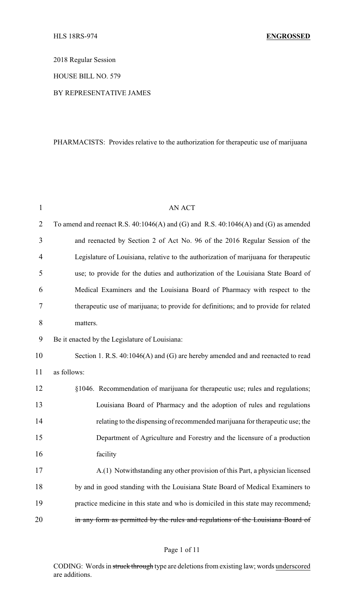2018 Regular Session

HOUSE BILL NO. 579

## BY REPRESENTATIVE JAMES

# PHARMACISTS: Provides relative to the authorization for therapeutic use of marijuana

| $\mathbf{1}$   | <b>AN ACT</b>                                                                        |  |
|----------------|--------------------------------------------------------------------------------------|--|
| $\overline{2}$ | To amend and reenact R.S. 40:1046(A) and (G) and R.S. 40:1046(A) and (G) as amended  |  |
| 3              | and reenacted by Section 2 of Act No. 96 of the 2016 Regular Session of the          |  |
| $\overline{4}$ | Legislature of Louisiana, relative to the authorization of marijuana for therapeutic |  |
| 5              | use; to provide for the duties and authorization of the Louisiana State Board of     |  |
| 6              | Medical Examiners and the Louisiana Board of Pharmacy with respect to the            |  |
| 7              | therapeutic use of marijuana; to provide for definitions; and to provide for related |  |
| 8              | matters.                                                                             |  |
| 9              | Be it enacted by the Legislature of Louisiana:                                       |  |
| 10             | Section 1. R.S. 40:1046(A) and (G) are hereby amended and and reenacted to read      |  |
| 11             | as follows:                                                                          |  |
| 12             | §1046. Recommendation of marijuana for therapeutic use; rules and regulations;       |  |
| 13             | Louisiana Board of Pharmacy and the adoption of rules and regulations                |  |
| 14             | relating to the dispensing of recommended marijuana for therapeutic use; the         |  |
| 15             | Department of Agriculture and Forestry and the licensure of a production             |  |
| 16             | facility                                                                             |  |
| 17             | A.(1) Notwithstanding any other provision of this Part, a physician licensed         |  |
| 18             | by and in good standing with the Louisiana State Board of Medical Examiners to       |  |
| 19             | practice medicine in this state and who is domiciled in this state may recommend,    |  |
| 20             | in any form as permitted by the rules and regulations of the Louisiana Board of      |  |

# Page 1 of 11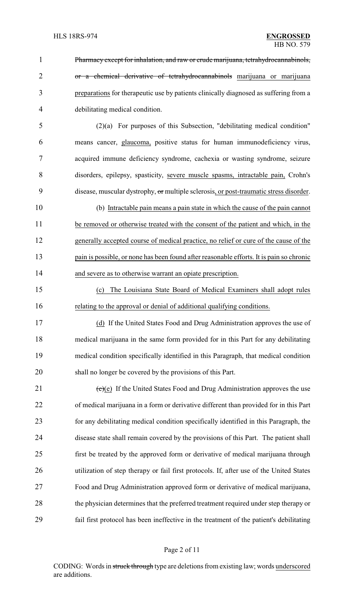Pharmacy except for inhalation, and raw or crude marijuana, tetrahydrocannabinols, 2 or a chemical derivative of tetrahydrocannabinols marijuana or marijuana preparations for therapeutic use by patients clinically diagnosed as suffering from a debilitating medical condition.

 (2)(a) For purposes of this Subsection, "debilitating medical condition" means cancer, glaucoma, positive status for human immunodeficiency virus, acquired immune deficiency syndrome, cachexia or wasting syndrome, seizure disorders, epilepsy, spasticity, severe muscle spasms, intractable pain, Crohn's disease, muscular dystrophy, or multiple sclerosis, or post-traumatic stress disorder.

 (b) Intractable pain means a pain state in which the cause of the pain cannot 11 be removed or otherwise treated with the consent of the patient and which, in the generally accepted course of medical practice, no relief or cure of the cause of the 13 pain is possible, or none has been found after reasonable efforts. It is pain so chronic and severe as to otherwise warrant an opiate prescription.

 (c) The Louisiana State Board of Medical Examiners shall adopt rules relating to the approval or denial of additional qualifying conditions.

 (d) If the United States Food and Drug Administration approves the use of medical marijuana in the same form provided for in this Part for any debilitating medical condition specifically identified in this Paragraph, that medical condition shall no longer be covered by the provisions of this Part.

 $\left(\frac{e}{e}\right)$  If the United States Food and Drug Administration approves the use of medical marijuana in a form or derivative different than provided for in this Part for any debilitating medical condition specifically identified in this Paragraph, the disease state shall remain covered by the provisions of this Part. The patient shall first be treated by the approved form or derivative of medical marijuana through utilization of step therapy or fail first protocols. If, after use of the United States Food and Drug Administration approved form or derivative of medical marijuana, the physician determines that the preferred treatment required under step therapy or fail first protocol has been ineffective in the treatment of the patient's debilitating

#### Page 2 of 11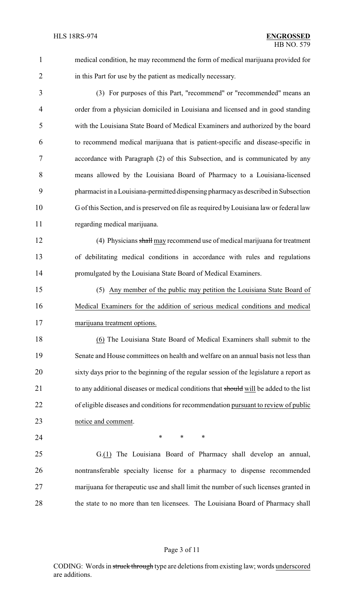medical condition, he may recommend the form of medical marijuana provided for 2 in this Part for use by the patient as medically necessary.

- (3) For purposes of this Part, "recommend" or "recommended" means an order from a physician domiciled in Louisiana and licensed and in good standing with the Louisiana State Board of Medical Examiners and authorized by the board to recommend medical marijuana that is patient-specific and disease-specific in accordance with Paragraph (2) of this Subsection, and is communicated by any means allowed by the Louisiana Board of Pharmacy to a Louisiana-licensed pharmacist in a Louisiana-permitted dispensing pharmacyas described in Subsection G of this Section, and is preserved on file as required byLouisiana law or federal law regarding medical marijuana. 12 (4) Physicians shall may recommend use of medical marijuana for treatment of debilitating medical conditions in accordance with rules and regulations promulgated by the Louisiana State Board of Medical Examiners. (5) Any member of the public may petition the Louisiana State Board of Medical Examiners for the addition of serious medical conditions and medical marijuana treatment options. (6) The Louisiana State Board of Medical Examiners shall submit to the Senate and House committees on health and welfare on an annual basis not less than sixty days prior to the beginning of the regular session of the legislature a report as 21 to any additional diseases or medical conditions that should will be added to the list of eligible diseases and conditions for recommendation pursuant to review of public notice and comment. **\*** \* \* \* G.(1) The Louisiana Board of Pharmacy shall develop an annual, nontransferable specialty license for a pharmacy to dispense recommended
- 28 the state to no more than ten licensees. The Louisiana Board of Pharmacy shall

## Page 3 of 11

marijuana for therapeutic use and shall limit the number of such licenses granted in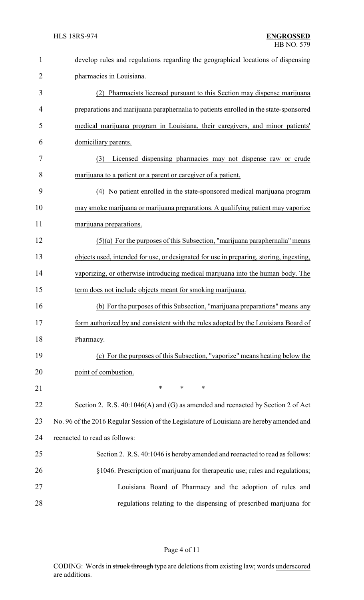| $\mathbf{1}$ | develop rules and regulations regarding the geographical locations of dispensing          |  |
|--------------|-------------------------------------------------------------------------------------------|--|
| 2            | pharmacies in Louisiana.                                                                  |  |
| 3            | Pharmacists licensed pursuant to this Section may dispense marijuana                      |  |
| 4            | preparations and marijuana paraphernalia to patients enrolled in the state-sponsored      |  |
| 5            | medical marijuana program in Louisiana, their caregivers, and minor patients'             |  |
| 6            | domiciliary parents.                                                                      |  |
| 7            | Licensed dispensing pharmacies may not dispense raw or crude<br>(3)                       |  |
| 8            | marijuana to a patient or a parent or caregiver of a patient.                             |  |
| 9            | (4) No patient enrolled in the state-sponsored medical marijuana program                  |  |
| 10           | may smoke marijuana or marijuana preparations. A qualifying patient may vaporize          |  |
| 11           | marijuana preparations.                                                                   |  |
| 12           | $(5)(a)$ For the purposes of this Subsection, "marijuana paraphernalia" means             |  |
| 13           | objects used, intended for use, or designated for use in preparing, storing, ingesting,   |  |
| 14           | vaporizing, or otherwise introducing medical marijuana into the human body. The           |  |
| 15           | term does not include objects meant for smoking marijuana.                                |  |
| 16           | (b) For the purposes of this Subsection, "marijuana preparations" means any               |  |
| 17           | form authorized by and consistent with the rules adopted by the Louisiana Board of        |  |
| 18           | Pharmacy.                                                                                 |  |
| 19           | (c) For the purposes of this Subsection, "vaporize" means heating below the               |  |
| 20           | point of combustion.                                                                      |  |
| 21           | $\ast$<br>$\ast$<br>$\ast$                                                                |  |
| 22           | Section 2. R.S. 40:1046(A) and (G) as amended and reenacted by Section 2 of Act           |  |
| 23           | No. 96 of the 2016 Regular Session of the Legislature of Louisiana are hereby amended and |  |
| 24           | reenacted to read as follows:                                                             |  |
| 25           | Section 2. R.S. 40:1046 is hereby amended and reenacted to read as follows:               |  |
| 26           | §1046. Prescription of marijuana for therapeutic use; rules and regulations;              |  |
| 27           | Louisiana Board of Pharmacy and the adoption of rules and                                 |  |
| 28           | regulations relating to the dispensing of prescribed marijuana for                        |  |

# Page 4 of 11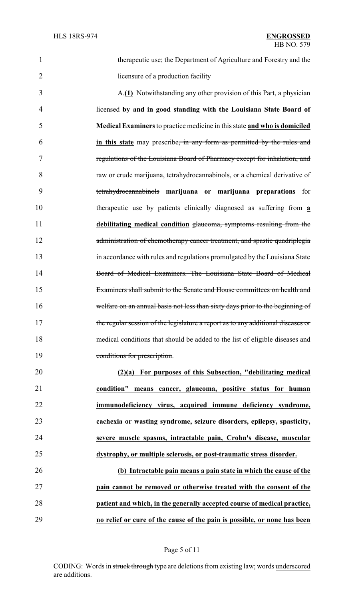therapeutic use; the Department of Agriculture and Forestry and the 2 licensure of a production facility A.**(1)** Notwithstanding any other provision of this Part, a physician licensed **by and in good standing with the Louisiana State Board of Medical Examiners**to practice medicine in this state **and who is domiciled in this state** may prescribe, in any form as permitted by the rules and regulations of the Louisiana Board of Pharmacy except for inhalation, and raw or crude marijuana, tetrahydrocannabinols, or a chemical derivative of tetrahydrocannabinols **marijuana or marijuana preparations** for therapeutic use by patients clinically diagnosed as suffering from **a debilitating medical condition** glaucoma, symptoms resulting from the 12 administration of chemotherapy cancer treatment, and spastic quadriplegia in accordance with rules and regulations promulgated by the Louisiana State Board of Medical Examiners. The Louisiana State Board of Medical Examiners shall submit to the Senate and House committees on health and 16 welfare on an annual basis not less than sixty days prior to the beginning of 17 the regular session of the legislature a report as to any additional diseases or medical conditions that should be added to the list of eligible diseases and conditions for prescription. **(2)(a) For purposes of this Subsection, "debilitating medical condition" means cancer, glaucoma, positive status for human immunodeficiency virus, acquired immune deficiency syndrome, cachexia or wasting syndrome, seizure disorders, epilepsy, spasticity, severe muscle spasms, intractable pain, Crohn's disease, muscular dystrophy, or multiple sclerosis, or post-traumatic stress disorder. (b) Intractable pain means a pain state in which the cause of the pain cannot be removed or otherwise treated with the consent of the patient and which, in the generally accepted course of medical practice, no relief or cure of the cause of the pain is possible, or none has been**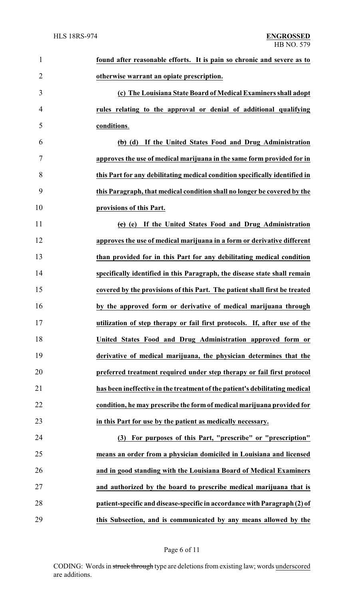| $\mathbf{1}$   | found after reasonable efforts. It is pain so chronic and severe as to           |
|----------------|----------------------------------------------------------------------------------|
| $\overline{2}$ | otherwise warrant an opiate prescription.                                        |
| 3              | (c) The Louisiana State Board of Medical Examiners shall adopt                   |
| 4              | rules relating to the approval or denial of additional qualifying                |
| 5              | conditions.                                                                      |
| 6              | $\left(\frac{1}{b}\right)$ (d) If the United States Food and Drug Administration |
| 7              | approves the use of medical marijuana in the same form provided for in           |
| 8              | this Part for any debilitating medical condition specifically identified in      |
| 9              | this Paragraph, that medical condition shall no longer be covered by the         |
| 10             | provisions of this Part.                                                         |
| 11             | (c) (e) If the United States Food and Drug Administration                        |
| 12             | approves the use of medical marijuana in a form or derivative different          |
| 13             | than provided for in this Part for any debilitating medical condition            |
| 14             | specifically identified in this Paragraph, the disease state shall remain        |
| 15             | covered by the provisions of this Part. The patient shall first be treated       |
| 16             | by the approved form or derivative of medical marijuana through                  |
| 17             | utilization of step therapy or fail first protocols. If, after use of the        |
| 18             | United States Food and Drug Administration approved form or                      |
| 19             | derivative of medical marijuana, the physician determines that the               |
| 20             | preferred treatment required under step therapy or fail first protocol           |
| 21             | has been ineffective in the treatment of the patient's debilitating medical      |
| 22             | condition, he may prescribe the form of medical marijuana provided for           |
| 23             | in this Part for use by the patient as medically necessary.                      |
| 24             | For purposes of this Part, "prescribe" or "prescription"<br>(3)                  |
| 25             | means an order from a physician domiciled in Louisiana and licensed              |
| 26             | and in good standing with the Louisiana Board of Medical Examiners               |
| 27             | and authorized by the board to prescribe medical marijuana that is               |
| 28             | patient-specific and disease-specific in accordance with Paragraph (2) of        |
| 29             | this Subsection, and is communicated by any means allowed by the                 |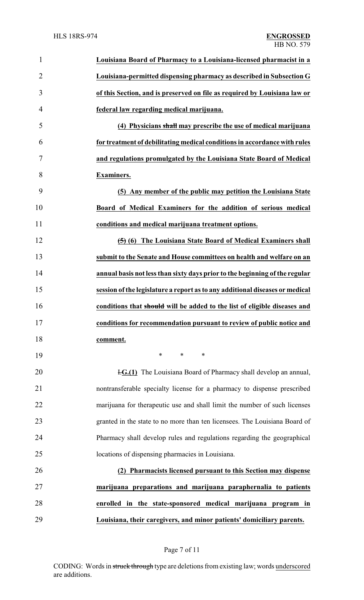| $\mathbf{1}$   | Louisiana Board of Pharmacy to a Louisiana-licensed pharmacist in a          |
|----------------|------------------------------------------------------------------------------|
| $\overline{2}$ | Louisiana-permitted dispensing pharmacy as described in Subsection G         |
| 3              | of this Section, and is preserved on file as required by Louisiana law or    |
| 4              | federal law regarding medical marijuana.                                     |
| 5              | (4) Physicians shall may prescribe the use of medical marijuana              |
| 6              | for treatment of debilitating medical conditions in accordance with rules    |
| 7              | and regulations promulgated by the Louisiana State Board of Medical          |
| 8              | <b>Examiners.</b>                                                            |
| 9              | (5) Any member of the public may petition the Louisiana State                |
| 10             | Board of Medical Examiners for the addition of serious medical               |
| 11             | conditions and medical marijuana treatment options.                          |
| 12             | (5) (6) The Louisiana State Board of Medical Examiners shall                 |
| 13             | submit to the Senate and House committees on health and welfare on an        |
| 14             | annual basis not less than sixty days prior to the beginning of the regular  |
| 15             | session of the legislature a report as to any additional diseases or medical |
| 16             | conditions that should will be added to the list of eligible diseases and    |
| 17             | conditions for recommendation pursuant to review of public notice and        |
| 18             | comment.                                                                     |
| 19             | *<br>$\ast$<br>∗                                                             |
| 20             | <b>H.G.(1)</b> The Louisiana Board of Pharmacy shall develop an annual,      |
| 21             | nontransferable specialty license for a pharmacy to dispense prescribed      |
| 22             | marijuana for therapeutic use and shall limit the number of such licenses    |
| 23             | granted in the state to no more than ten licensees. The Louisiana Board of   |
| 24             | Pharmacy shall develop rules and regulations regarding the geographical      |
| 25             | locations of dispensing pharmacies in Louisiana.                             |
| 26             | Pharmacists licensed pursuant to this Section may dispense<br>(2)            |
| 27             | marijuana preparations and marijuana paraphernalia to patients               |
| 28             | enrolled in the state-sponsored medical marijuana program in                 |
| 29             | Louisiana, their caregivers, and minor patients' domiciliary parents.        |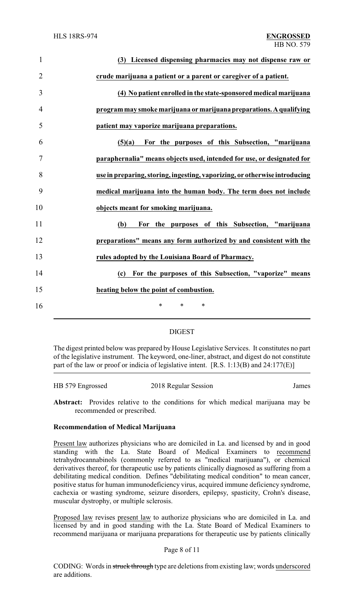| $\mathbf{1}$   | (3) Licensed dispensing pharmacies may not dispense raw or                 |
|----------------|----------------------------------------------------------------------------|
| $\overline{2}$ | crude marijuana a patient or a parent or caregiver of a patient.           |
| 3              | (4) No patient enrolled in the state-sponsored medical marijuana           |
| $\overline{4}$ | program may smoke marijuana or marijuana preparations. A qualifying        |
| 5              | patient may vaporize marijuana preparations.                               |
| 6              | For the purposes of this Subsection, "marijuana<br>(5)(a)                  |
| 7              | paraphernalia" means objects used, intended for use, or designated for     |
| 8              | use in preparing, storing, ingesting, vaporizing, or otherwise introducing |
| 9              | medical marijuana into the human body. The term does not include           |
| 10             | objects meant for smoking marijuana.                                       |
| 11             | For the purposes of this Subsection, "marijuana<br>(b)                     |
| 12             | preparations" means any form authorized by and consistent with the         |
| 13             | rules adopted by the Louisiana Board of Pharmacy.                          |
| 14             | For the purposes of this Subsection, "vaporize" means<br>(c)               |
| 15             | heating below the point of combustion.                                     |
| 16             | $\ast$<br>*<br>*                                                           |
|                |                                                                            |

## DIGEST

The digest printed below was prepared by House Legislative Services. It constitutes no part of the legislative instrument. The keyword, one-liner, abstract, and digest do not constitute part of the law or proof or indicia of legislative intent. [R.S. 1:13(B) and 24:177(E)]

| HB 579 Engrossed | 2018 Regular Session | James |
|------------------|----------------------|-------|
|                  |                      |       |

**Abstract:** Provides relative to the conditions for which medical marijuana may be recommended or prescribed.

## **Recommendation of Medical Marijuana**

Present law authorizes physicians who are domiciled in La. and licensed by and in good standing with the La. State Board of Medical Examiners to recommend tetrahydrocannabinols (commonly referred to as "medical marijuana"), or chemical derivatives thereof, for therapeutic use by patients clinically diagnosed as suffering from a debilitating medical condition. Defines "debilitating medical condition" to mean cancer, positive status for human immunodeficiency virus, acquired immune deficiency syndrome, cachexia or wasting syndrome, seizure disorders, epilepsy, spasticity, Crohn's disease, muscular dystrophy, or multiple sclerosis.

Proposed law revises present law to authorize physicians who are domiciled in La. and licensed by and in good standing with the La. State Board of Medical Examiners to recommend marijuana or marijuana preparations for therapeutic use by patients clinically

#### Page 8 of 11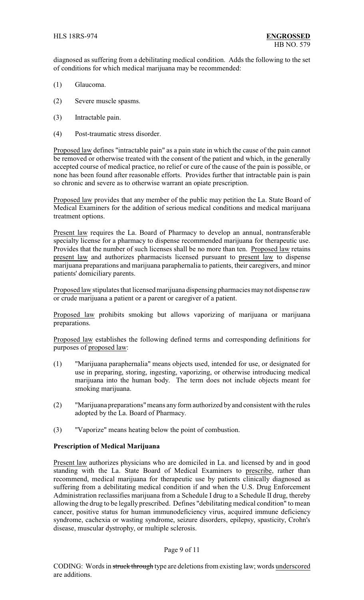diagnosed as suffering from a debilitating medical condition. Adds the following to the set of conditions for which medical marijuana may be recommended:

- (1) Glaucoma.
- (2) Severe muscle spasms.
- (3) Intractable pain.
- (4) Post-traumatic stress disorder.

Proposed law defines "intractable pain" as a pain state in which the cause of the pain cannot be removed or otherwise treated with the consent of the patient and which, in the generally accepted course of medical practice, no relief or cure of the cause of the pain is possible, or none has been found after reasonable efforts. Provides further that intractable pain is pain so chronic and severe as to otherwise warrant an opiate prescription.

Proposed law provides that any member of the public may petition the La. State Board of Medical Examiners for the addition of serious medical conditions and medical marijuana treatment options.

Present law requires the La. Board of Pharmacy to develop an annual, nontransferable specialty license for a pharmacy to dispense recommended marijuana for therapeutic use. Provides that the number of such licenses shall be no more than ten. Proposed law retains present law and authorizes pharmacists licensed pursuant to present law to dispense marijuana preparations and marijuana paraphernalia to patients, their caregivers, and minor patients' domiciliary parents.

Proposed law stipulates that licensed marijuana dispensing pharmacies maynot dispense raw or crude marijuana a patient or a parent or caregiver of a patient.

Proposed law prohibits smoking but allows vaporizing of marijuana or marijuana preparations.

Proposed law establishes the following defined terms and corresponding definitions for purposes of proposed law:

- (1) "Marijuana paraphernalia" means objects used, intended for use, or designated for use in preparing, storing, ingesting, vaporizing, or otherwise introducing medical marijuana into the human body. The term does not include objects meant for smoking marijuana.
- (2) "Marijuana preparations"means any form authorized by and consistent with the rules adopted by the La. Board of Pharmacy.
- (3) "Vaporize" means heating below the point of combustion.

## **Prescription of Medical Marijuana**

Present law authorizes physicians who are domiciled in La. and licensed by and in good standing with the La. State Board of Medical Examiners to prescribe, rather than recommend, medical marijuana for therapeutic use by patients clinically diagnosed as suffering from a debilitating medical condition if and when the U.S. Drug Enforcement Administration reclassifies marijuana from a Schedule I drug to a Schedule II drug, thereby allowing the drug to be legally prescribed. Defines "debilitating medical condition" to mean cancer, positive status for human immunodeficiency virus, acquired immune deficiency syndrome, cachexia or wasting syndrome, seizure disorders, epilepsy, spasticity, Crohn's disease, muscular dystrophy, or multiple sclerosis.

#### Page 9 of 11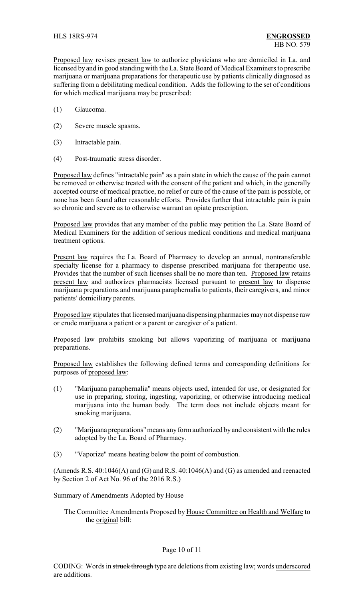Proposed law revises present law to authorize physicians who are domiciled in La. and licensed by and in good standing with the La. State Board of Medical Examiners to prescribe marijuana or marijuana preparations for therapeutic use by patients clinically diagnosed as suffering from a debilitating medical condition. Adds the following to the set of conditions for which medical marijuana may be prescribed:

- (1) Glaucoma.
- (2) Severe muscle spasms.
- (3) Intractable pain.
- (4) Post-traumatic stress disorder.

Proposed law defines "intractable pain" as a pain state in which the cause of the pain cannot be removed or otherwise treated with the consent of the patient and which, in the generally accepted course of medical practice, no relief or cure of the cause of the pain is possible, or none has been found after reasonable efforts. Provides further that intractable pain is pain so chronic and severe as to otherwise warrant an opiate prescription.

Proposed law provides that any member of the public may petition the La. State Board of Medical Examiners for the addition of serious medical conditions and medical marijuana treatment options.

Present law requires the La. Board of Pharmacy to develop an annual, nontransferable specialty license for a pharmacy to dispense prescribed marijuana for therapeutic use. Provides that the number of such licenses shall be no more than ten. Proposed law retains present law and authorizes pharmacists licensed pursuant to present law to dispense marijuana preparations and marijuana paraphernalia to patients, their caregivers, and minor patients' domiciliary parents.

Proposed law stipulates that licensed marijuana dispensing pharmacies maynot dispense raw or crude marijuana a patient or a parent or caregiver of a patient.

Proposed law prohibits smoking but allows vaporizing of marijuana or marijuana preparations.

Proposed law establishes the following defined terms and corresponding definitions for purposes of proposed law:

- (1) "Marijuana paraphernalia" means objects used, intended for use, or designated for use in preparing, storing, ingesting, vaporizing, or otherwise introducing medical marijuana into the human body. The term does not include objects meant for smoking marijuana.
- (2) "Marijuana preparations"means anyform authorized by and consistent with the rules adopted by the La. Board of Pharmacy.
- (3) "Vaporize" means heating below the point of combustion.

(Amends R.S.  $40:1046(A)$  and (G) and R.S.  $40:1046(A)$  and (G) as amended and reenacted by Section 2 of Act No. 96 of the 2016 R.S.)

## Summary of Amendments Adopted by House

The Committee Amendments Proposed by House Committee on Health and Welfare to the original bill:

## Page 10 of 11